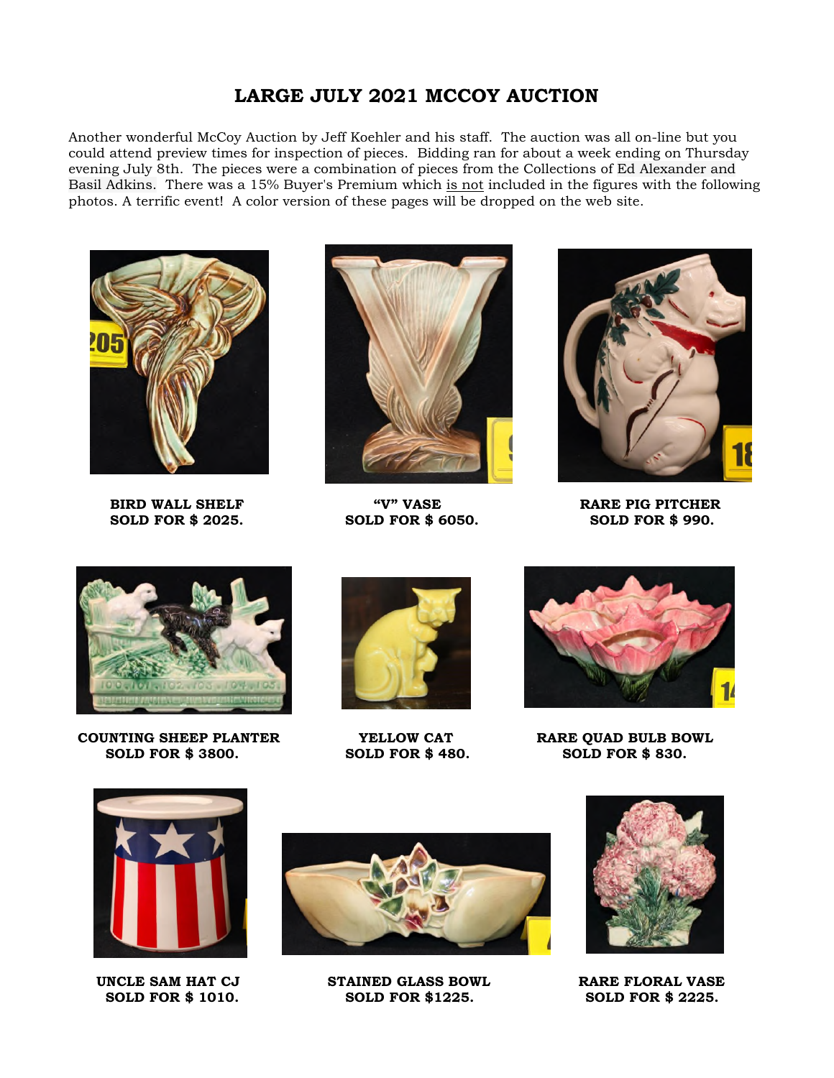## **LARGE JULY 2021 MCCOY AUCTION**

Another wonderful McCoy Auction by Jeff Koehler and his staff. The auction was all on-line but you could attend preview times for inspection of pieces. Bidding ran for about a week ending on Thursday evening July 8th. The pieces were a combination of pieces from the Collections of Ed Alexander and Basil Adkins. There was a 15% Buyer's Premium which is not included in the figures with the following photos. A terrific event! A color version of these pages will be dropped on the web site.





**BIRD WALL SHELF "V" VASE RARE PIG PITCHER** 



 **SOLD FOR \$ 2025. SOLD FOR \$ 6050. SOLD FOR \$ 990.** 



 **COUNTING SHEEP PLANTER YELLOW CAT RARE QUAD BULB BOWL SOLD FOR \$ 3800. SOLD FOR \$ 480. SOLD FOR \$ 830.** 









**UNCLE SAM HAT CJ STAINED GLASS BOWL BARE FLORAL VASE SOLD FOR \$ 1010. SOLD FOR \$1225. SOLD FOR \$ 2225.** 

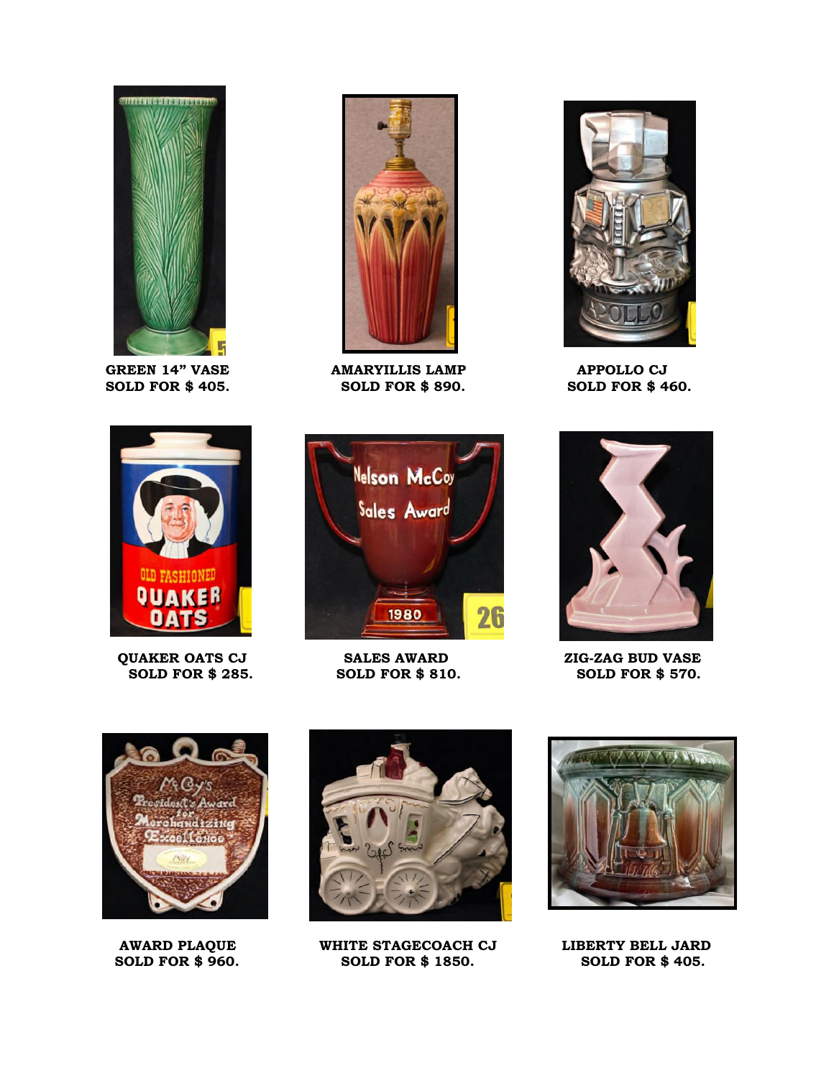

 **GREEN 14" VASE AMARYILLIS LAMP APPOLLO CJ** 



 **SOLD FOR \$ 405. SOLD FOR \$ 890. SOLD FOR \$ 460.** 





**QUAKER OATS CJ** SALES AWARD **2IG-ZAG BUD VASE**<br>SOLD FOR \$ 285. SOLD FOR \$ 810. SOLD FOR \$ 570. **SOLD FOR \$ 285.** 









AWARD PLAQUE **WHITE STAGECOACH CJ** LIBERTY BELL JARD<br>
SOLD FOR \$ 960. SOLD FOR \$ 1850. SOLD FOR \$ 405. **SOLD FOR \$ 1850.** 

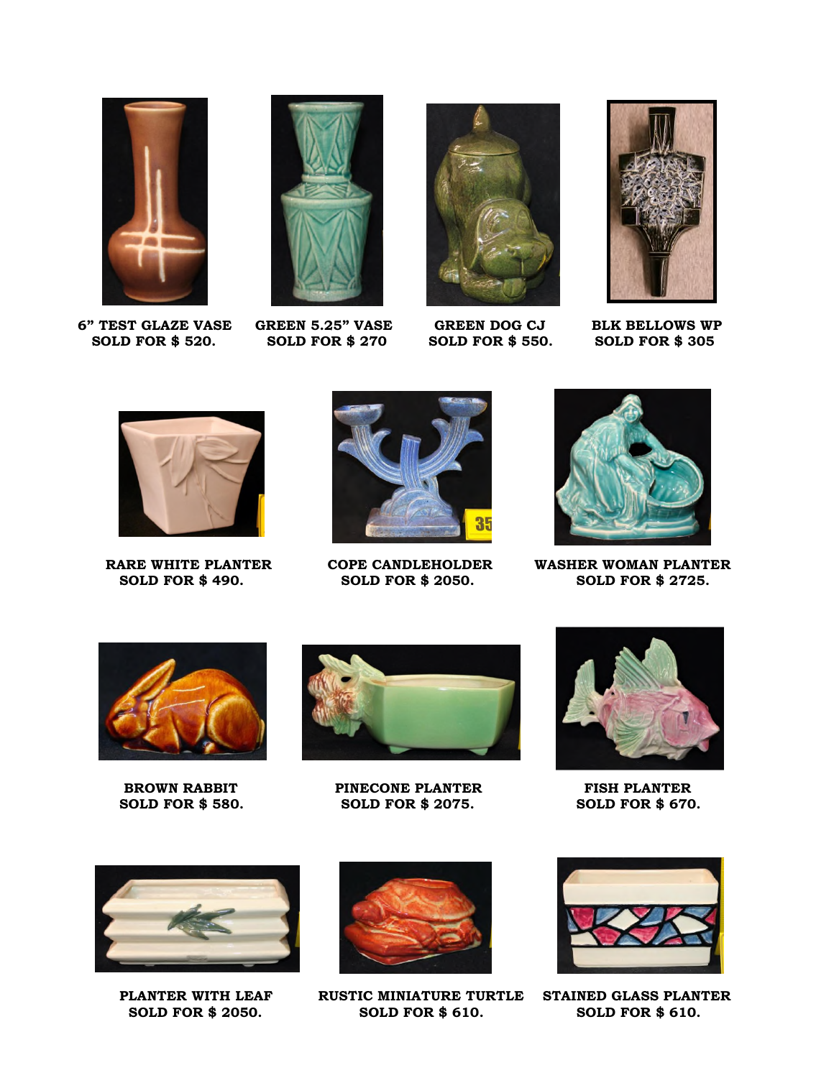

 **6" TEST GLAZE VASE GREEN 5.25" VASE GREEN DOG CJ BLK BELLOWS WP SOLD FOR \$ 520. SOLD FOR \$ 270 SOLD FOR \$ 550. SOLD FOR \$ 305** 













 **RARE WHITE PLANTER COPE CANDLEHOLDER WASHER WOMAN PLANTER SOLD FOR \$ 490. SOLD FOR \$ 2050. SOLD FOR \$ 2725.** 





**BROWN RABBIT PINECONE PLANTER FISH PLANTER SOLD FOR \$ 580. SOLD FOR \$ 2075. SOLD FOR \$ 670.** 





 **SOLD FOR \$ 2050. SOLD FOR \$ 610. SOLD FOR \$ 610.** 



**PLANTER WITH LEAF RUSTIC MINIATURE TURTLE STAINED GLASS PLANTER SOLD FOR \$ 2050.** SOLD FOR \$ 610.

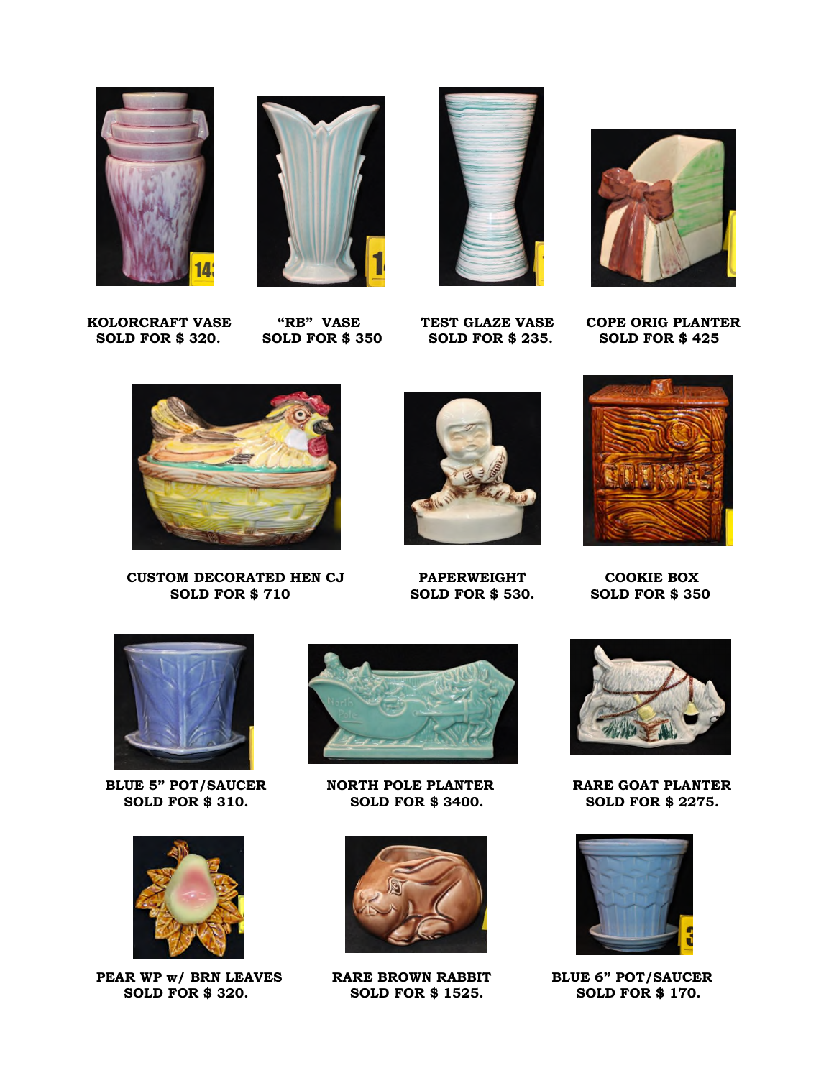







**EXECUTE TEST GLAZE VASE WASE SOLD FOR \$320.** SOLD FOR \$350 SOLD FOR \$425 SOLD FOR \$425

 **SOLD FOR \$ 320. SOLD FOR \$ 350 SOLD FOR \$ 235. SOLD FOR \$ 425** 



 **CUSTOM DECORATED HEN CJ PAPERWEIGHT COOKIE BOX SOLD FOR \$ 710 SOLD FOR \$ 530. SOLD FOR \$ 350** 









 **PEAR WP w/ BRN LEAVES** RARE BROWN RABBIT BLUE 6" POT/SAUCER  **SOLD FOR \$ 320. SOLD FOR \$ 1525. SOLD FOR \$ 170.** 



**BLUE 5" POT/SAUCER NORTH POLE PLANTER RARE GOAT PLANTER SOLD FOR \$ 310. SOLD FOR \$ 3400. SOLD FOR \$ 2275.** 





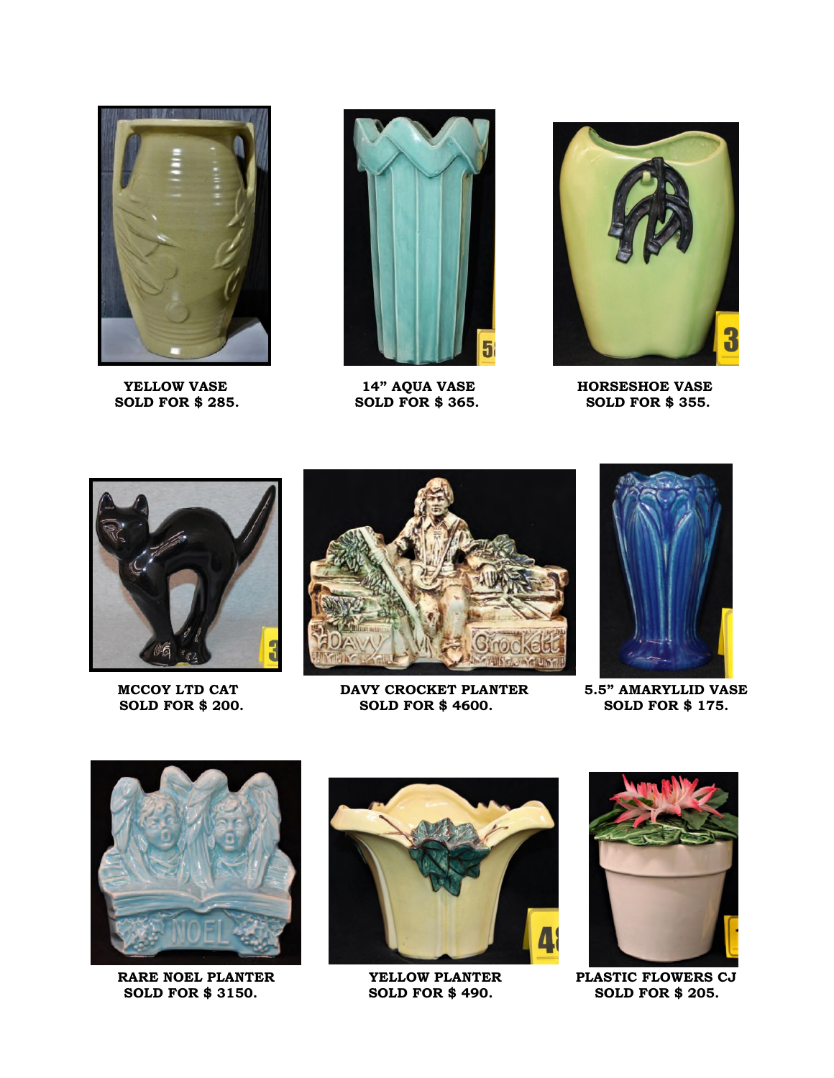





**TELLOW VASE** 14" AQUA VASE HORSESHOE VASE<br>
SOLD FOR \$ 285. SOLD FOR \$ 365. SOLD FOR \$ 355.  **SOLD FOR \$ 285. SOLD FOR \$ 365. SOLD FOR \$ 355.** 





**MCCOY LTD CAT DAVY CROCKET PLANTER 5.5" AMARYLLID VASE SOLD FOR \$ 200. SOLD FOR \$ 4600. SOLD FOR \$ 175.** 





 **SOLD FOR \$ 3150. SOLD FOR \$ 490. SOLD FOR \$ 205.** 





**RARE NOEL PLANTER YELLOW PLANTER PLASTIC FLOWERS CJ**